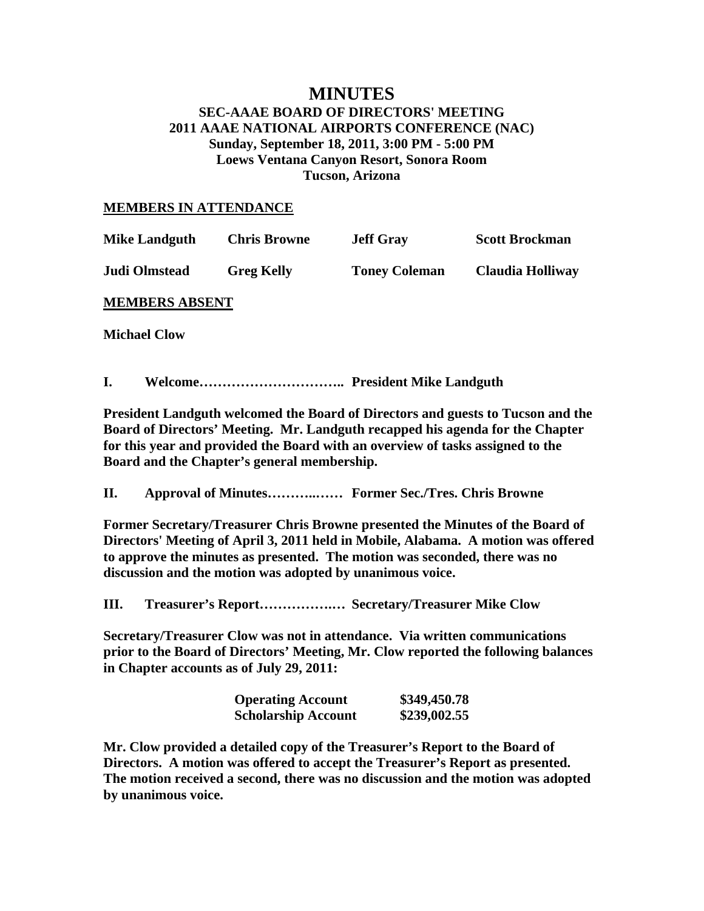# **MINUTES**

### **SEC-AAAE BOARD OF DIRECTORS' MEETING 2011 AAAE NATIONAL AIRPORTS CONFERENCE (NAC) Sunday, September 18, 2011, 3:00 PM - 5:00 PM Loews Ventana Canyon Resort, Sonora Room Tucson, Arizona**

#### **MEMBERS IN ATTENDANCE**

| <b>Mike Landguth</b>  | <b>Chris Browne</b> | <b>Jeff Gray</b>     | <b>Scott Brockman</b> |  |
|-----------------------|---------------------|----------------------|-----------------------|--|
| Judi Olmstead         | <b>Greg Kelly</b>   | <b>Toney Coleman</b> | Claudia Holliway      |  |
| <b>MEMBERS ABSENT</b> |                     |                      |                       |  |

**Michael Clow** 

**I. Welcome………………………….. President Mike Landguth** 

**President Landguth welcomed the Board of Directors and guests to Tucson and the Board of Directors' Meeting. Mr. Landguth recapped his agenda for the Chapter for this year and provided the Board with an overview of tasks assigned to the Board and the Chapter's general membership.** 

**II. Approval of Minutes………..…… Former Sec./Tres. Chris Browne** 

**Former Secretary/Treasurer Chris Browne presented the Minutes of the Board of Directors' Meeting of April 3, 2011 held in Mobile, Alabama. A motion was offered to approve the minutes as presented. The motion was seconded, there was no discussion and the motion was adopted by unanimous voice.** 

**III. Treasurer's Report…………….… Secretary/Treasurer Mike Clow** 

**Secretary/Treasurer Clow was not in attendance. Via written communications prior to the Board of Directors' Meeting, Mr. Clow reported the following balances in Chapter accounts as of July 29, 2011:** 

| <b>Operating Account</b>   | \$349,450.78 |
|----------------------------|--------------|
| <b>Scholarship Account</b> | \$239,002.55 |

**Mr. Clow provided a detailed copy of the Treasurer's Report to the Board of Directors. A motion was offered to accept the Treasurer's Report as presented. The motion received a second, there was no discussion and the motion was adopted by unanimous voice.**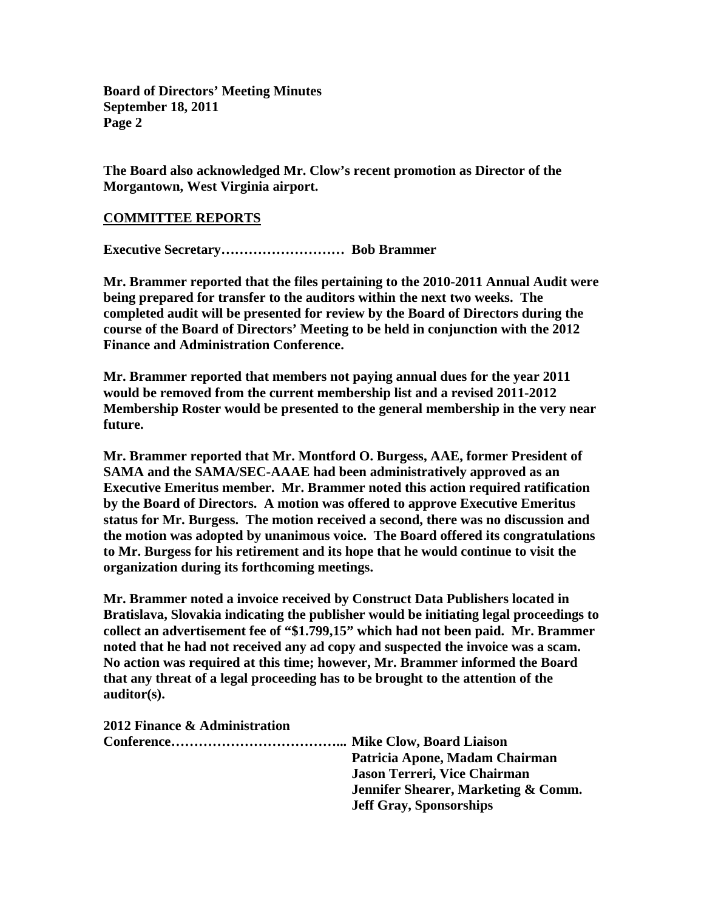**The Board also acknowledged Mr. Clow's recent promotion as Director of the Morgantown, West Virginia airport.** 

#### **COMMITTEE REPORTS**

**Executive Secretary……………………… Bob Brammer** 

**Mr. Brammer reported that the files pertaining to the 2010-2011 Annual Audit were being prepared for transfer to the auditors within the next two weeks. The completed audit will be presented for review by the Board of Directors during the course of the Board of Directors' Meeting to be held in conjunction with the 2012 Finance and Administration Conference.** 

**Mr. Brammer reported that members not paying annual dues for the year 2011 would be removed from the current membership list and a revised 2011-2012 Membership Roster would be presented to the general membership in the very near future.** 

**Mr. Brammer reported that Mr. Montford O. Burgess, AAE, former President of SAMA and the SAMA/SEC-AAAE had been administratively approved as an Executive Emeritus member. Mr. Brammer noted this action required ratification by the Board of Directors. A motion was offered to approve Executive Emeritus status for Mr. Burgess. The motion received a second, there was no discussion and the motion was adopted by unanimous voice. The Board offered its congratulations to Mr. Burgess for his retirement and its hope that he would continue to visit the organization during its forthcoming meetings.** 

**Mr. Brammer noted a invoice received by Construct Data Publishers located in Bratislava, Slovakia indicating the publisher would be initiating legal proceedings to collect an advertisement fee of "\$1.799,15" which had not been paid. Mr. Brammer noted that he had not received any ad copy and suspected the invoice was a scam. No action was required at this time; however, Mr. Brammer informed the Board that any threat of a legal proceeding has to be brought to the attention of the auditor(s).** 

**2012 Finance & Administration** 

| Patricia Apone, Madam Chairman                 |
|------------------------------------------------|
| Jason Terreri, Vice Chairman                   |
| <b>Jennifer Shearer, Marketing &amp; Comm.</b> |
| <b>Jeff Gray, Sponsorships</b>                 |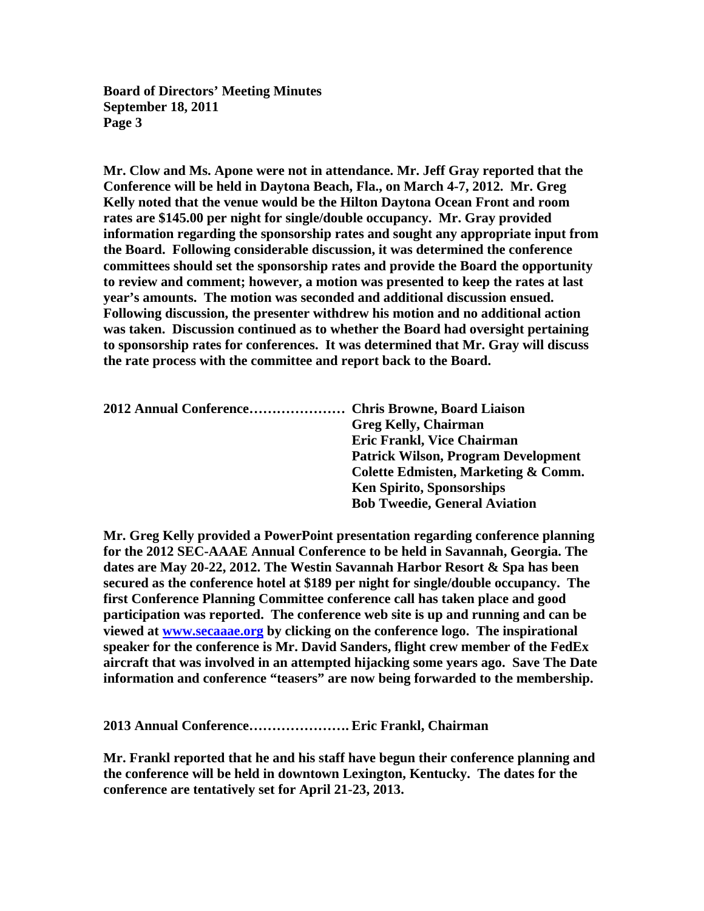**Mr. Clow and Ms. Apone were not in attendance. Mr. Jeff Gray reported that the Conference will be held in Daytona Beach, Fla., on March 4-7, 2012. Mr. Greg Kelly noted that the venue would be the Hilton Daytona Ocean Front and room rates are \$145.00 per night for single/double occupancy. Mr. Gray provided information regarding the sponsorship rates and sought any appropriate input from the Board. Following considerable discussion, it was determined the conference committees should set the sponsorship rates and provide the Board the opportunity to review and comment; however, a motion was presented to keep the rates at last year's amounts. The motion was seconded and additional discussion ensued. Following discussion, the presenter withdrew his motion and no additional action was taken. Discussion continued as to whether the Board had oversight pertaining to sponsorship rates for conferences. It was determined that Mr. Gray will discuss the rate process with the committee and report back to the Board.** 

| 2012 Annual Conference Chris Browne, Board Liaison |                                            |
|----------------------------------------------------|--------------------------------------------|
|                                                    | <b>Greg Kelly, Chairman</b>                |
|                                                    | <b>Eric Frankl, Vice Chairman</b>          |
|                                                    | <b>Patrick Wilson, Program Development</b> |
|                                                    | Colette Edmisten, Marketing & Comm.        |
|                                                    | <b>Ken Spirito, Sponsorships</b>           |
|                                                    | <b>Bob Tweedie, General Aviation</b>       |
|                                                    |                                            |

**Mr. Greg Kelly provided a PowerPoint presentation regarding conference planning for the 2012 SEC-AAAE Annual Conference to be held in Savannah, Georgia. The dates are May 20-22, 2012. The Westin Savannah Harbor Resort & Spa has been secured as the conference hotel at \$189 per night for single/double occupancy. The first Conference Planning Committee conference call has taken place and good participation was reported. The conference web site is up and running and can be viewed at www.secaaae.org by clicking on the conference logo. The inspirational speaker for the conference is Mr. David Sanders, flight crew member of the FedEx aircraft that was involved in an attempted hijacking some years ago. Save The Date information and conference "teasers" are now being forwarded to the membership.**

**2013 Annual Conference…………………. Eric Frankl, Chairman** 

**Mr. Frankl reported that he and his staff have begun their conference planning and the conference will be held in downtown Lexington, Kentucky. The dates for the conference are tentatively set for April 21-23, 2013.**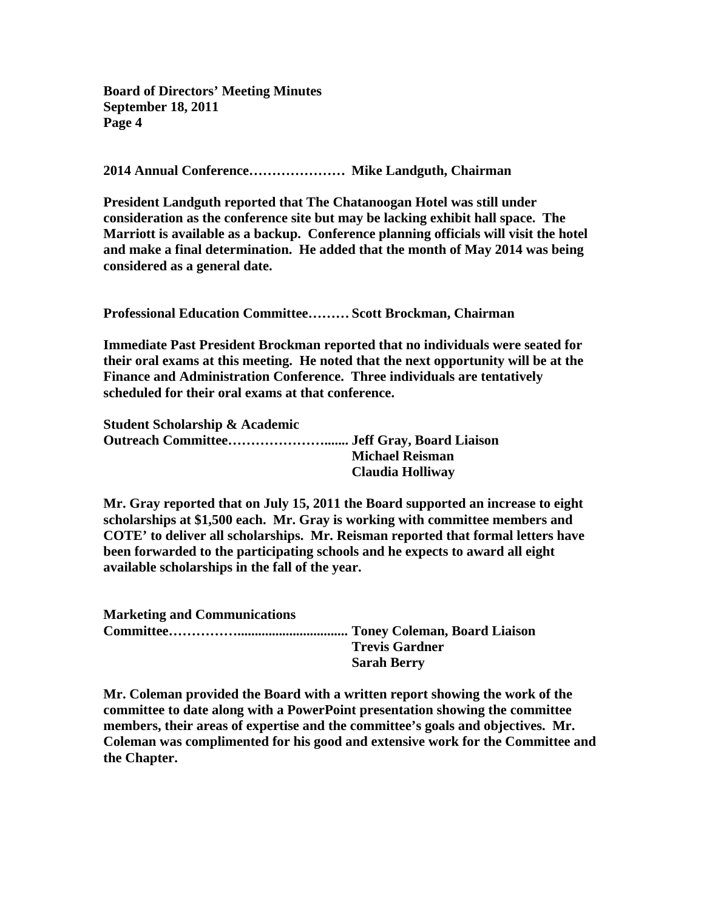**2014 Annual Conference………………… Mike Landguth, Chairman** 

**President Landguth reported that The Chatanoogan Hotel was still under consideration as the conference site but may be lacking exhibit hall space. The Marriott is available as a backup. Conference planning officials will visit the hotel and make a final determination. He added that the month of May 2014 was being considered as a general date.** 

**Professional Education Committee……… Scott Brockman, Chairman** 

**Immediate Past President Brockman reported that no individuals were seated for their oral exams at this meeting. He noted that the next opportunity will be at the Finance and Administration Conference. Three individuals are tentatively scheduled for their oral exams at that conference.** 

| <b>Student Scholarship &amp; Academic</b> |                        |
|-------------------------------------------|------------------------|
|                                           |                        |
|                                           | <b>Michael Reisman</b> |
|                                           | Claudia Holliway       |

**Mr. Gray reported that on July 15, 2011 the Board supported an increase to eight scholarships at \$1,500 each. Mr. Gray is working with committee members and COTE' to deliver all scholarships. Mr. Reisman reported that formal letters have been forwarded to the participating schools and he expects to award all eight available scholarships in the fall of the year.** 

**Marketing and Communications Committee……………................................ Toney Coleman, Board Liaison Trevis Gardner Sarah Berry** 

**Mr. Coleman provided the Board with a written report showing the work of the committee to date along with a PowerPoint presentation showing the committee members, their areas of expertise and the committee's goals and objectives. Mr. Coleman was complimented for his good and extensive work for the Committee and the Chapter.**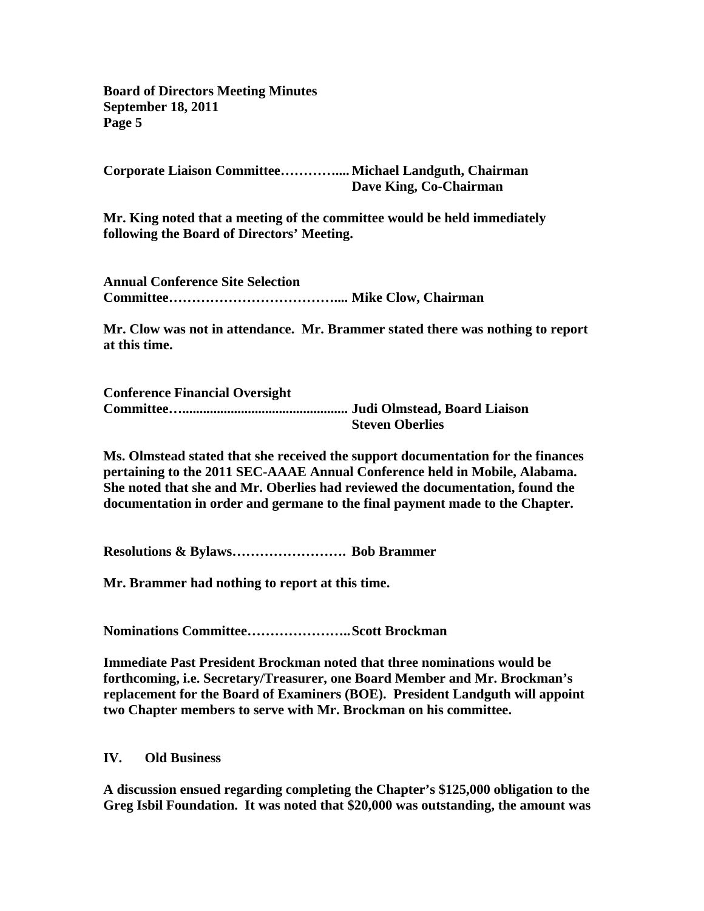**Corporate Liaison Committee………….... Michael Landguth, Chairman Dave King, Co-Chairman** 

**Mr. King noted that a meeting of the committee would be held immediately following the Board of Directors' Meeting.** 

**Annual Conference Site Selection Committee……………………………….... Mike Clow, Chairman** 

**Mr. Clow was not in attendance. Mr. Brammer stated there was nothing to report at this time.** 

**Conference Financial Oversight Committee…................................................ Judi Olmstead, Board Liaison Steven Oberlies** 

**Ms. Olmstead stated that she received the support documentation for the finances pertaining to the 2011 SEC-AAAE Annual Conference held in Mobile, Alabama. She noted that she and Mr. Oberlies had reviewed the documentation, found the documentation in order and germane to the final payment made to the Chapter.** 

**Resolutions & Bylaws……………………. Bob Brammer** 

**Mr. Brammer had nothing to report at this time.** 

**Nominations Committee………………….. Scott Brockman** 

**Immediate Past President Brockman noted that three nominations would be forthcoming, i.e. Secretary/Treasurer, one Board Member and Mr. Brockman's replacement for the Board of Examiners (BOE). President Landguth will appoint two Chapter members to serve with Mr. Brockman on his committee.** 

**IV. Old Business** 

**A discussion ensued regarding completing the Chapter's \$125,000 obligation to the Greg Isbil Foundation. It was noted that \$20,000 was outstanding, the amount was**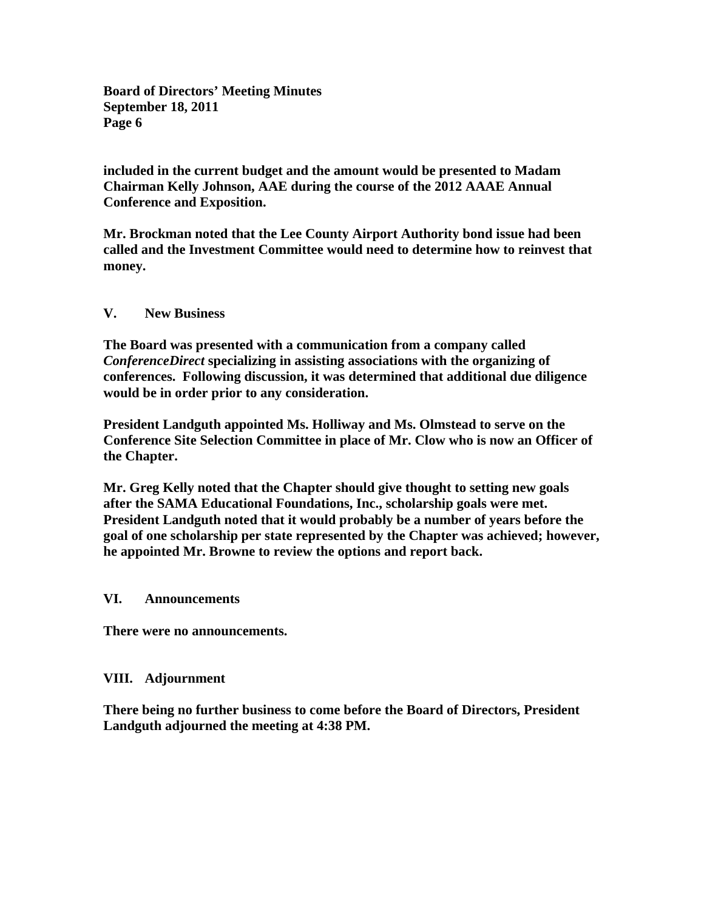**included in the current budget and the amount would be presented to Madam Chairman Kelly Johnson, AAE during the course of the 2012 AAAE Annual Conference and Exposition.** 

**Mr. Brockman noted that the Lee County Airport Authority bond issue had been called and the Investment Committee would need to determine how to reinvest that money.** 

#### **V. New Business**

**The Board was presented with a communication from a company called**  *ConferenceDirect* **specializing in assisting associations with the organizing of conferences. Following discussion, it was determined that additional due diligence would be in order prior to any consideration.** 

**President Landguth appointed Ms. Holliway and Ms. Olmstead to serve on the Conference Site Selection Committee in place of Mr. Clow who is now an Officer of the Chapter.** 

**Mr. Greg Kelly noted that the Chapter should give thought to setting new goals after the SAMA Educational Foundations, Inc., scholarship goals were met. President Landguth noted that it would probably be a number of years before the goal of one scholarship per state represented by the Chapter was achieved; however, he appointed Mr. Browne to review the options and report back.** 

#### **VI. Announcements**

**There were no announcements.** 

## **VIII. Adjournment**

**There being no further business to come before the Board of Directors, President Landguth adjourned the meeting at 4:38 PM.**